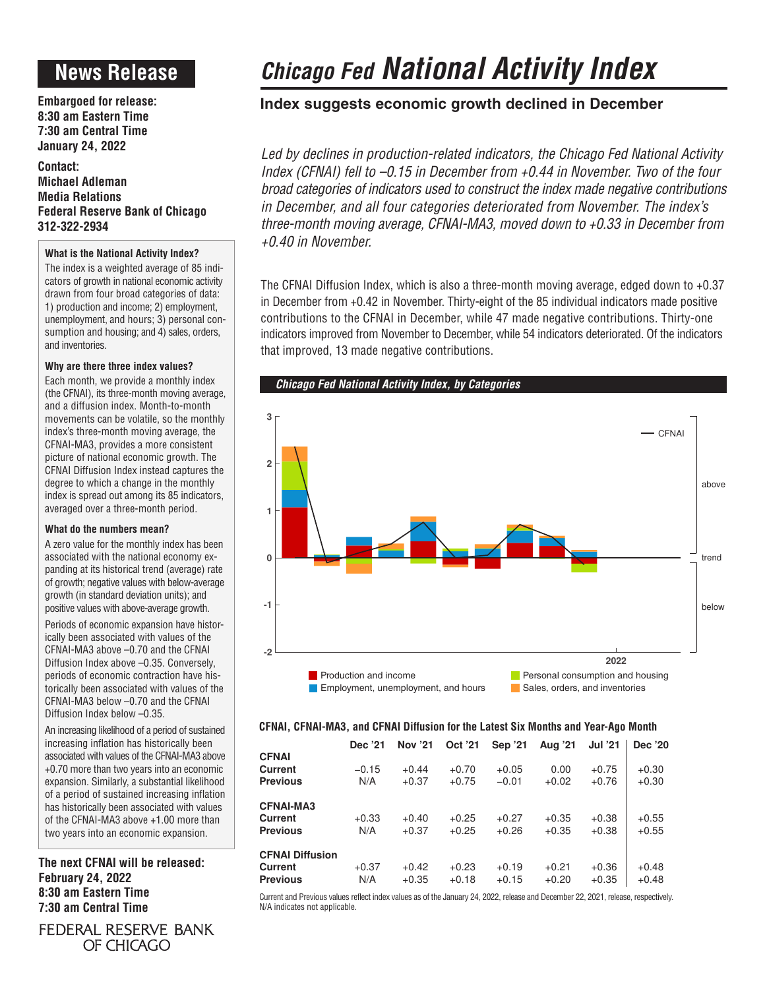# **News Release**

**Embargoed for release: 8:30 am Eastern Time 7:30 am Central Time January 24, 2022**

**Contact: Michael Adleman Media Relations Federal Reserve Bank of Chicago 312-322-2934**

# **What is the National Activity Index?**

The index is a weighted average of 85 indicators of growth in national economic activity drawn from four broad categories of data: 1) production and income; 2) employment, unemployment, and hours; 3) personal consumption and housing; and 4) sales, orders, and inventories.

# **Why are there three index values?**

Each month, we provide a monthly index (the CFNAI), its three-month moving average, and a diffusion index. Month-to-month movements can be volatile, so the monthly index's three-month moving average, the CFNAI-MA3, provides a more consistent picture of national economic growth. The CFNAI Diffusion Index instead captures the degree to which a change in the monthly index is spread out among its 85 indicators, averaged over a three-month period.

## **What do the numbers mean?**

A zero value for the monthly index has been associated with the national economy expanding at its historical trend (average) rate of growth; negative values with below-average growth (in standard deviation units); and positive values with above-average growth.

Periods of economic expansion have historically been associated with values of the CFNAI-MA3 above –0.70 and the CFNAI Diffusion Index above –0.35. Conversely, periods of economic contraction have historically been associated with values of the CFNAI-MA3 below –0.70 and the CFNAI Diffusion Index below –0.35.

An increasing likelihood of a period of sustained increasing inflation has historically been associated with values of the CFNAI-MA3 above +0.70 more than two years into an economic expansion. Similarly, a substantial likelihood of a period of sustained increasing inflation has historically been associated with values of the CFNAI-MA3 above +1.00 more than two years into an economic expansion.

**The next CFNAI will be released: February 24, 2022 8:30 am Eastern Time 7:30 am Central Time**

FEDERAL RESERVE BANK OF CHICAGO

# *Chicago Fed National Activity Index*

# **Index suggests economic growth declined in December**

*Led by declines in production-related indicators, the Chicago Fed National Activity Index (CFNAI) fell to –0.15 in December from +0.44 in November. Two of the four broad categories of indicators used to construct the index made negative contributions in December, and all four categories deteriorated from November. The index's three-month moving average, CFNAI-MA3, moved down to +0.33 in December from +0.40 in November.*

The CFNAI Diffusion Index, which is also a three-month moving average, edged down to +0.37 in December from +0.42 in November. Thirty-eight of the 85 individual indicators made positive contributions to the CFNAI in December, while 47 made negative contributions. Thirty-one indicators improved from November to December, while 54 indicators deteriorated. Of the indicators that improved, 13 made negative contributions.



# **CFNAI, CFNAI-MA3, and CFNAI Diffusion for the Latest Six Months and Year-Ago Month**

|                                                      | Dec '21        | <b>Nov '21</b>     | Oct '21            | Sep '21            | Aug '21            | <b>Jul '21</b>     | Dec '20            |
|------------------------------------------------------|----------------|--------------------|--------------------|--------------------|--------------------|--------------------|--------------------|
| <b>CFNAI</b><br>Current<br><b>Previous</b>           | $-0.15$<br>N/A | $+0.44$<br>$+0.37$ | $+0.70$<br>$+0.75$ | $+0.05$<br>$-0.01$ | 0.00<br>$+0.02$    | $+0.75$<br>$+0.76$ | $+0.30$<br>$+0.30$ |
| <b>CFNAI-MA3</b><br>Current<br><b>Previous</b>       | $+0.33$<br>N/A | $+0.40$<br>$+0.37$ | $+0.25$<br>$+0.25$ | $+0.27$<br>$+0.26$ | $+0.35$<br>$+0.35$ | $+0.38$<br>$+0.38$ | $+0.55$<br>$+0.55$ |
| <b>CFNAI Diffusion</b><br>Current<br><b>Previous</b> | $+0.37$<br>N/A | $+0.42$<br>$+0.35$ | $+0.23$<br>$+0.18$ | $+0.19$<br>$+0.15$ | $+0.21$<br>$+0.20$ | $+0.36$<br>$+0.35$ | $+0.48$<br>$+0.48$ |

Current and Previous values reflect index values as of the January 24, 2022, release and December 22, 2021, release, respectively. N/A indicates not applicable.